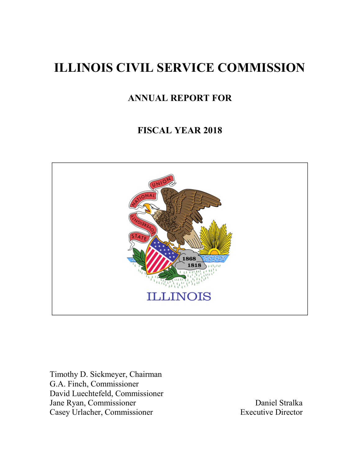# **ILLINOIS CIVIL SERVICE COMMISSION**

# **ANNUAL REPORT FOR**

# **FISCAL YEAR 2018**



Timothy D. Sickmeyer, Chairman G.A. Finch, Commissioner David Luechtefeld, Commissioner Jane Ryan, Commissioner Daniel Stralka<br>
Casev Urlacher, Commissioner Byzantic Birector<br>
Daniel Stralka<br>
Daniel Stralka Casey Urlacher, Commissioner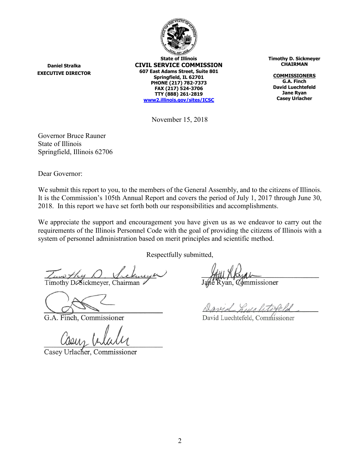

**Daniel Stralka EXECUTIVE DIRECTOR**

**State of Illinois CIVIL SERVICE COMMISSION 607 East Adams Street, Suite 801 Springfield, IL 62701 PHONE (217) 782-7373 FAX (217) 524-3706 TTY (888) 261-2819 [www2.illinois.gov/sites/ICSC](https://www2.illinois.gov/sites/ICSC)**

**Timothy D. Sickmeyer CHAIRMAN**

**COMMISSIONERS G.A. Finch David Luechtefeld Jane Ryan Casey Urlacher**

November 15, 2018

Governor Bruce Rauner State of Illinois Springfield, Illinois 62706

Dear Governor:

We submit this report to you, to the members of the General Assembly, and to the citizens of Illinois. It is the Commission's 105th Annual Report and covers the period of July 1, 2017 through June 30, 2018. In this report we have set forth both our responsibilities and accomplishments.

We appreciate the support and encouragement you have given us as we endeavor to carry out the requirements of the Illinois Personnel Code with the goal of providing the citizens of Illinois with a system of personnel administration based on merit principles and scientific method.

Respectfully submitted,

Timothy DeSickmeyer, Chairman

G.A. Finch, Commissioner

Casey Urlacher, Commissioner

Ryan, *Commissioner* 

David Lucalitereld

David Luechtefeld, Commissioner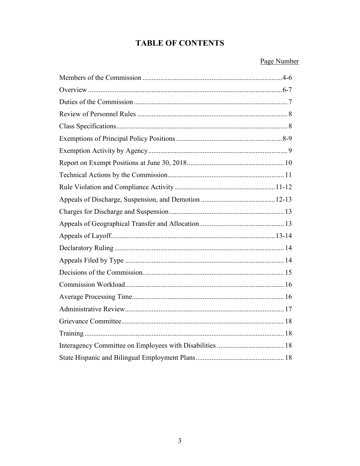## **TABLE OF CONTENTS**

#### Page Number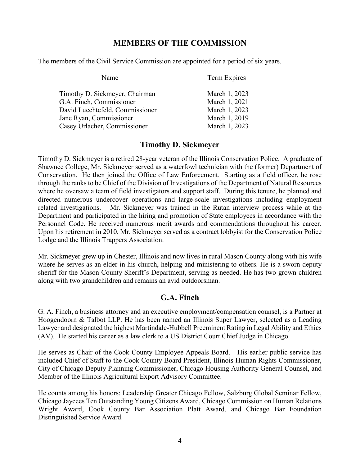## **MEMBERS OF THE COMMISSION**

The members of the Civil Service Commission are appointed for a period of six years.

| Name                            | <b>Term Expires</b> |
|---------------------------------|---------------------|
| Timothy D. Sickmeyer, Chairman  | March 1, 2023       |
| G.A. Finch, Commissioner        | March 1, 2021       |
| David Luechtefeld, Commissioner | March 1, 2023       |
| Jane Ryan, Commissioner         | March 1, 2019       |
| Casey Urlacher, Commissioner    | March 1, 2023       |

## **Timothy D. Sickmeyer**

Timothy D. Sickmeyer is a retired 28-year veteran of the Illinois Conservation Police. A graduate of Shawnee College, Mr. Sickmeyer served as a waterfowl technician with the (former) Department of Conservation. He then joined the Office of Law Enforcement. Starting as a field officer, he rose through the ranks to be Chief of the Division of Investigations of the Department of Natural Resources where he oversaw a team of field investigators and support staff. During this tenure, he planned and directed numerous undercover operations and large-scale investigations including employment related investigations. Mr. Sickmeyer was trained in the Rutan interview process while at the Department and participated in the hiring and promotion of State employees in accordance with the Personnel Code. He received numerous merit awards and commendations throughout his career. Upon his retirement in 2010, Mr. Sickmeyer served as a contract lobbyist for the Conservation Police Lodge and the Illinois Trappers Association.

Mr. Sickmeyer grew up in Chester, Illinois and now lives in rural Mason County along with his wife where he serves as an elder in his church, helping and ministering to others. He is a sworn deputy sheriff for the Mason County Sheriff's Department, serving as needed. He has two grown children along with two grandchildren and remains an avid outdoorsman.

## **G.A. Finch**

G. A. Finch, a business attorney and an executive employment/compensation counsel, is a Partner at Hoogendoorn & Talbot LLP. He has been named an Illinois Super Lawyer, selected as a Leading Lawyer and designated the highest Martindale-Hubbell Preeminent Rating in Legal Ability and Ethics (AV). He started his career as a law clerk to a US District Court Chief Judge in Chicago.

He serves as Chair of the Cook County Employee Appeals Board. His earlier public service has included Chief of Staff to the Cook County Board President, Illinois Human Rights Commissioner, City of Chicago Deputy Planning Commissioner, Chicago Housing Authority General Counsel, and Member of the Illinois Agricultural Export Advisory Committee.

He counts among his honors: Leadership Greater Chicago Fellow, Salzburg Global Seminar Fellow, Chicago Jaycees Ten Outstanding Young Citizens Award, Chicago Commission on Human Relations Wright Award, Cook County Bar Association Platt Award, and Chicago Bar Foundation Distinguished Service Award.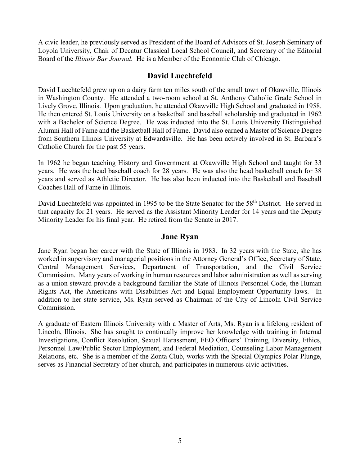A civic leader, he previously served as President of the Board of Advisors of St. Joseph Seminary of Loyola University, Chair of Decatur Classical Local School Council, and Secretary of the Editorial Board of the *Illinois Bar Journal.* He is a Member of the Economic Club of Chicago.

## **David Luechtefeld**

David Luechtefeld grew up on a dairy farm ten miles south of the small town of Okawville, Illinois in Washington County. He attended a two-room school at St. Anthony Catholic Grade School in Lively Grove, Illinois. Upon graduation, he attended Okawville High School and graduated in 1958. He then entered St. Louis University on a basketball and baseball scholarship and graduated in 1962 with a Bachelor of Science Degree. He was inducted into the St. Louis University Distinguished Alumni Hall of Fame and the Basketball Hall of Fame. David also earned a Master of Science Degree from Southern Illinois University at Edwardsville. He has been actively involved in St. Barbara's Catholic Church for the past 55 years.

In 1962 he began teaching History and Government at Okawville High School and taught for 33 years. He was the head baseball coach for 28 years. He was also the head basketball coach for 38 years and served as Athletic Director. He has also been inducted into the Basketball and Baseball Coaches Hall of Fame in Illinois.

David Luechtefeld was appointed in 1995 to be the State Senator for the 58<sup>th</sup> District. He served in that capacity for 21 years. He served as the Assistant Minority Leader for 14 years and the Deputy Minority Leader for his final year. He retired from the Senate in 2017.

#### **Jane Ryan**

Jane Ryan began her career with the State of Illinois in 1983. In 32 years with the State, she has worked in supervisory and managerial positions in the Attorney General's Office, Secretary of State, Central Management Services, Department of Transportation, and the Civil Service Commission. Many years of working in human resources and labor administration as well as serving as a union steward provide a background familiar the State of Illinois Personnel Code, the Human Rights Act, the Americans with Disabilities Act and Equal Employment Opportunity laws. In addition to her state service, Ms. Ryan served as Chairman of the City of Lincoln Civil Service Commission.

A graduate of Eastern Illinois University with a Master of Arts, Ms. Ryan is a lifelong resident of Lincoln, Illinois. She has sought to continually improve her knowledge with training in Internal Investigations, Conflict Resolution, Sexual Harassment, EEO Officers' Training, Diversity, Ethics, Personnel Law/Public Sector Employment, and Federal Mediation, Counseling Labor Management Relations, etc. She is a member of the Zonta Club, works with the Special Olympics Polar Plunge, serves as Financial Secretary of her church, and participates in numerous civic activities.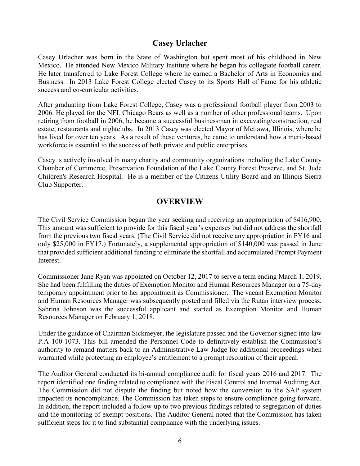## **Casey Urlacher**

Casey Urlacher was born in the State of Washington but spent most of his childhood in New Mexico. He attended New Mexico Military Institute where he began his collegiate football career. He later transferred to Lake Forest College where he earned a Bachelor of Arts in Economics and Business. In 2013 Lake Forest College elected Casey to its Sports Hall of Fame for his athletic success and co-curricular activities.

After graduating from Lake Forest College, Casey was a professional football player from 2003 to 2006. He played for the NFL Chicago Bears as well as a number of other professional teams. Upon retiring from football in 2006, he became a successful businessman in excavating/construction, real estate, restaurants and nightclubs. In 2013 Casey was elected Mayor of Mettawa, Illinois, where he has lived for over ten years. As a result of these ventures, he came to understand how a merit-based workforce is essential to the success of both private and public enterprises.

Casey is actively involved in many charity and community organizations including the Lake County Chamber of Commerce, Preservation Foundation of the Lake County Forest Preserve, and St. Jude Children's Research Hospital. He is a member of the Citizens Utility Board and an Illinois Sierra Club Supporter.

## **OVERVIEW**

The Civil Service Commission began the year seeking and receiving an appropriation of \$416,900. This amount was sufficient to provide for this fiscal year's expenses but did not address the shortfall from the previous two fiscal years. (The Civil Service did not receive any appropriation in FY16 and only \$25,000 in FY17.) Fortunately, a supplemental appropriation of \$140,000 was passed in June that provided sufficient additional funding to eliminate the shortfall and accumulated Prompt Payment Interest.

Commissioner Jane Ryan was appointed on October 12, 2017 to serve a term ending March 1, 2019. She had been fulfilling the duties of Exemption Monitor and Human Resources Manager on a 75-day temporary appointment prior to her appointment as Commissioner. The vacant Exemption Monitor and Human Resources Manager was subsequently posted and filled via the Rutan interview process. Sabrina Johnson was the successful applicant and started as Exemption Monitor and Human Resources Manager on February 1, 2018.

Under the guidance of Chairman Sickmeyer, the legislature passed and the Governor signed into law P.A 100-1073. This bill amended the Personnel Code to definitively establish the Commission's authority to remand matters back to an Administrative Law Judge for additional proceedings when warranted while protecting an employee's entitlement to a prompt resolution of their appeal.

The Auditor General conducted its bi-annual compliance audit for fiscal years 2016 and 2017. The report identified one finding related to compliance with the Fiscal Control and Internal Auditing Act. The Commission did not dispute the finding but noted how the conversion to the SAP system impacted its noncompliance. The Commission has taken steps to ensure compliance going forward. In addition, the report included a follow-up to two previous findings related to segregation of duties and the monitoring of exempt positions. The Auditor General noted that the Commission has taken sufficient steps for it to find substantial compliance with the underlying issues.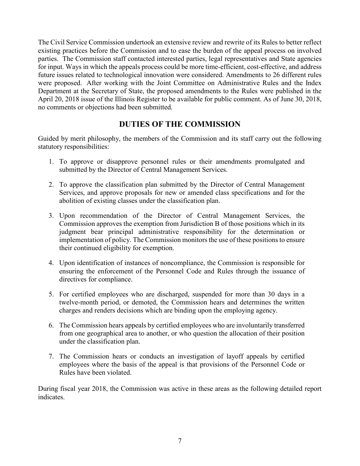The Civil Service Commission undertook an extensive review and rewrite of its Rules to better reflect existing practices before the Commission and to ease the burden of the appeal process on involved parties. The Commission staff contacted interested parties, legal representatives and State agencies for input. Ways in which the appeals process could be more time-efficient, cost-effective, and address future issues related to technological innovation were considered. Amendments to 26 different rules were proposed. After working with the Joint Committee on Administrative Rules and the Index Department at the Secretary of State, the proposed amendments to the Rules were published in the April 20, 2018 issue of the Illinois Register to be available for public comment. As of June 30, 2018, no comments or objections had been submitted.

## **DUTIES OF THE COMMISSION**

Guided by merit philosophy, the members of the Commission and its staff carry out the following statutory responsibilities:

- 1. To approve or disapprove personnel rules or their amendments promulgated and submitted by the Director of Central Management Services.
- 2. To approve the classification plan submitted by the Director of Central Management Services, and approve proposals for new or amended class specifications and for the abolition of existing classes under the classification plan.
- 3. Upon recommendation of the Director of Central Management Services, the Commission approves the exemption from Jurisdiction B of those positions which in its judgment bear principal administrative responsibility for the determination or implementation of policy. The Commission monitors the use of these positions to ensure their continued eligibility for exemption.
- 4. Upon identification of instances of noncompliance, the Commission is responsible for ensuring the enforcement of the Personnel Code and Rules through the issuance of directives for compliance.
- 5. For certified employees who are discharged, suspended for more than 30 days in a twelve-month period, or demoted, the Commission hears and determines the written charges and renders decisions which are binding upon the employing agency.
- 6. The Commission hears appeals by certified employees who are involuntarily transferred from one geographical area to another, or who question the allocation of their position under the classification plan.
- 7. The Commission hears or conducts an investigation of layoff appeals by certified employees where the basis of the appeal is that provisions of the Personnel Code or Rules have been violated.

During fiscal year 2018, the Commission was active in these areas as the following detailed report indicates.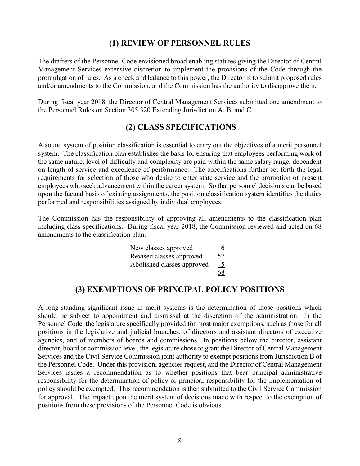#### **(1) REVIEW OF PERSONNEL RULES**

The drafters of the Personnel Code envisioned broad enabling statutes giving the Director of Central Management Services extensive discretion to implement the provisions of the Code through the promulgation of rules. As a check and balance to this power, the Director is to submit proposed rules and/or amendments to the Commission, and the Commission has the authority to disapprove them.

During fiscal year 2018, the Director of Central Management Services submitted one amendment to the Personnel Rules on Section 305.320 Extending Jurisdiction A, B, and C.

#### **(2) CLASS SPECIFICATIONS**

A sound system of position classification is essential to carry out the objectives of a merit personnel system. The classification plan establishes the basis for ensuring that employees performing work of the same nature, level of difficulty and complexity are paid within the same salary range, dependent on length of service and excellence of performance. The specifications further set forth the legal requirements for selection of those who desire to enter state service and the promotion of present employees who seek advancement within the career system. So that personnel decisions can be based upon the factual basis of existing assignments, the position classification system identifies the duties performed and responsibilities assigned by individual employees.

The Commission has the responsibility of approving all amendments to the classification plan including class specifications. During fiscal year 2018, the Commission reviewed and acted on 68 amendments to the classification plan.

| New classes approved       | 6  |
|----------------------------|----|
| Revised classes approved   | 57 |
| Abolished classes approved | 5  |
|                            | 68 |

#### **(3) EXEMPTIONS OF PRINCIPAL POLICY POSITIONS**

A long-standing significant issue in merit systems is the determination of those positions which should be subject to appointment and dismissal at the discretion of the administration. In the Personnel Code, the legislature specifically provided for most major exemptions, such as those for all positions in the legislative and judicial branches, of directors and assistant directors of executive agencies, and of members of boards and commissions. In positions below the director, assistant director, board or commission level, the legislature chose to grant the Director of Central Management Services and the Civil Service Commission joint authority to exempt positions from Jurisdiction B of the Personnel Code. Under this provision, agencies request, and the Director of Central Management Services issues a recommendation as to whether positions that bear principal administrative responsibility for the determination of policy or principal responsibility for the implementation of policy should be exempted. This recommendation is then submitted to the Civil Service Commission for approval. The impact upon the merit system of decisions made with respect to the exemption of positions from these provisions of the Personnel Code is obvious.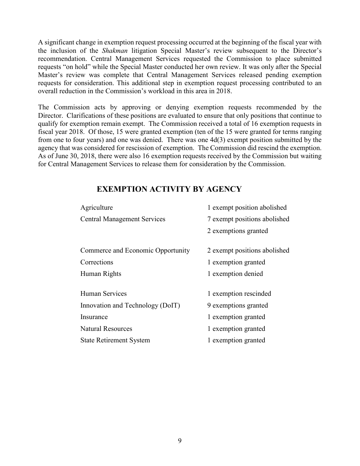A significant change in exemption request processing occurred at the beginning of the fiscal year with the inclusion of the *Shakman* litigation Special Master's review subsequent to the Director's recommendation. Central Management Services requested the Commission to place submitted requests "on hold" while the Special Master conducted her own review. It was only after the Special Master's review was complete that Central Management Services released pending exemption requests for consideration. This additional step in exemption request processing contributed to an overall reduction in the Commission's workload in this area in 2018.

The Commission acts by approving or denying exemption requests recommended by the Director. Clarifications of these positions are evaluated to ensure that only positions that continue to qualify for exemption remain exempt. The Commission received a total of 16 exemption requests in fiscal year 2018. Of those, 15 were granted exemption (ten of the 15 were granted for terms ranging from one to four years) and one was denied. There was one 4d(3) exempt position submitted by the agency that was considered for rescission of exemption. The Commission did rescind the exemption. As of June 30, 2018, there were also 16 exemption requests received by the Commission but waiting for Central Management Services to release them for consideration by the Commission.

#### **EXEMPTION ACTIVITY BY AGENCY**

| Agriculture                        | 1 exempt position abolished  |  |  |  |  |
|------------------------------------|------------------------------|--|--|--|--|
| <b>Central Management Services</b> | 7 exempt positions abolished |  |  |  |  |
|                                    | 2 exemptions granted         |  |  |  |  |
| Commerce and Economic Opportunity  | 2 exempt positions abolished |  |  |  |  |
| Corrections                        | 1 exemption granted          |  |  |  |  |
| Human Rights                       | 1 exemption denied           |  |  |  |  |
| Human Services                     | 1 exemption rescinded        |  |  |  |  |
| Innovation and Technology (DoIT)   | 9 exemptions granted         |  |  |  |  |
| Insurance                          | 1 exemption granted          |  |  |  |  |
| <b>Natural Resources</b>           | 1 exemption granted          |  |  |  |  |
| <b>State Retirement System</b>     | 1 exemption granted          |  |  |  |  |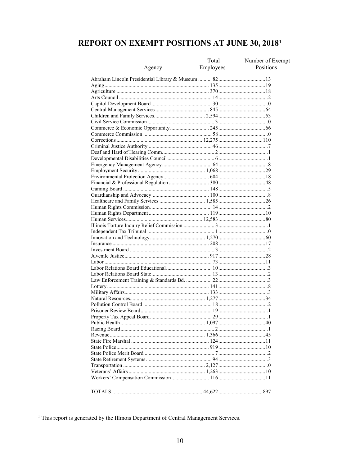# **REPORT ON EXEMPT POSITIONS AT JUNE 30, 2018<sup>1</sup>**

|        | Total            | Number of Exempt |
|--------|------------------|------------------|
| Agency | <b>Employees</b> | Positions        |
|        |                  |                  |
|        |                  |                  |
|        |                  |                  |
|        |                  |                  |
|        |                  |                  |
|        |                  |                  |
|        |                  |                  |
|        |                  |                  |
|        |                  |                  |
|        |                  |                  |
|        |                  |                  |
|        |                  |                  |
|        |                  |                  |
|        |                  |                  |
|        |                  |                  |
|        |                  |                  |
|        |                  |                  |
|        |                  |                  |
|        |                  |                  |
|        |                  |                  |
|        |                  |                  |
|        |                  |                  |
|        |                  |                  |
|        |                  |                  |
|        |                  |                  |
|        |                  |                  |
|        |                  |                  |
|        |                  |                  |
|        |                  |                  |
|        |                  |                  |
|        |                  |                  |
|        |                  |                  |
|        |                  |                  |
|        |                  |                  |
|        |                  |                  |
|        |                  |                  |
|        |                  |                  |
|        |                  |                  |
|        |                  |                  |
|        |                  |                  |
|        |                  |                  |
|        |                  |                  |
|        |                  |                  |
|        |                  |                  |
|        |                  |                  |
|        |                  |                  |
|        |                  |                  |
|        |                  |                  |
|        |                  |                  |
|        |                  |                  |
|        |                  |                  |
|        |                  |                  |
|        |                  |                  |
|        |                  |                  |
|        |                  |                  |

<span id="page-9-0"></span><sup>&</sup>lt;sup>1</sup> This report is generated by the Illinois Department of Central Management Services.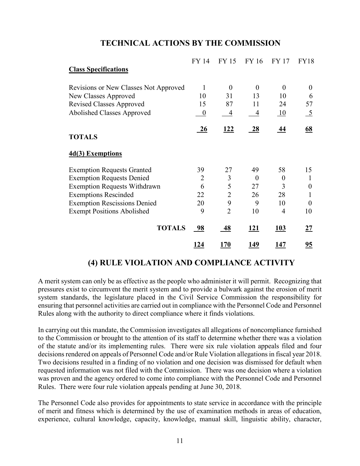| <b>Class Specifications</b>           | FY 14            | FY 15          | FY 16       | FY 17            | <b>FY18</b>   |
|---------------------------------------|------------------|----------------|-------------|------------------|---------------|
| Revisions or New Classes Not Approved | $\mathbf{1}$     | $\overline{0}$ | $\theta$    | $\theta$         | $\Omega$      |
| New Classes Approved                  | 10               | 31             | 13          | 10               | 6             |
| <b>Revised Classes Approved</b>       | 15               | 87             | 11          | 24               | 57            |
| Abolished Classes Approved            | $\boldsymbol{0}$ | 4              | 4           | $\underline{10}$ | $\frac{5}{2}$ |
|                                       | 26               | <u>122</u>     | <b>28</b>   | <u>44</u>        | 68            |
| <b>TOTALS</b>                         |                  |                |             |                  |               |
| 4d(3) Exemptions                      |                  |                |             |                  |               |
| <b>Exemption Requests Granted</b>     | 39               | 27             | 49          | 58               | 15            |
| <b>Exemption Requests Denied</b>      | 2                | 3              | $\Omega$    | $\theta$         | $\mathbf{I}$  |
| <b>Exemption Requests Withdrawn</b>   | 6                | 5              | 27          | 3                | $\theta$      |
| <b>Exemptions Rescinded</b>           | 22               | $\overline{2}$ | 26          | 28               | 1             |
| <b>Exemption Rescissions Denied</b>   | 20               | 9              | 9           | 10               | $\Omega$      |
| <b>Exempt Positions Abolished</b>     | 9                | $\overline{2}$ | 10          | 4                | 10            |
| <b>TOTALS</b>                         | <u>98</u>        | <u>48</u>      | <u> 121</u> | <u>103</u>       | <u>27</u>     |
|                                       | <u> 124</u>      | <u>170</u>     | <u> 149</u> | <u> 147</u>      | <u>95</u>     |

## **TECHNICAL ACTIONS BY THE COMMISSION**

## **(4) RULE VIOLATION AND COMPLIANCE ACTIVITY**

A merit system can only be as effective as the people who administer it will permit. Recognizing that pressures exist to circumvent the merit system and to provide a bulwark against the erosion of merit system standards, the legislature placed in the Civil Service Commission the responsibility for ensuring that personnel activities are carried out in compliance with the Personnel Code and Personnel Rules along with the authority to direct compliance where it finds violations.

In carrying out this mandate, the Commission investigates all allegations of noncompliance furnished to the Commission or brought to the attention of its staff to determine whether there was a violation of the statute and/or its implementing rules. There were six rule violation appeals filed and four decisions rendered on appeals of Personnel Code and/or Rule Violation allegations in fiscal year 2018. Two decisions resulted in a finding of no violation and one decision was dismissed for default when requested information was not filed with the Commission. There was one decision where a violation was proven and the agency ordered to come into compliance with the Personnel Code and Personnel Rules. There were four rule violation appeals pending at June 30, 2018.

The Personnel Code also provides for appointments to state service in accordance with the principle of merit and fitness which is determined by the use of examination methods in areas of education, experience, cultural knowledge, capacity, knowledge, manual skill, linguistic ability, character,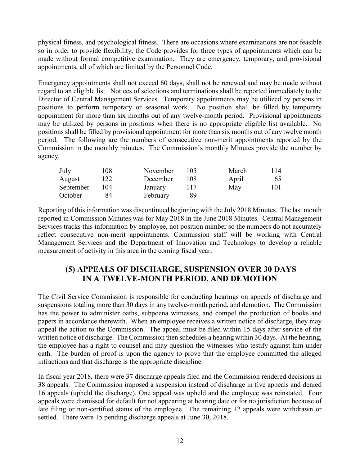physical fitness, and psychological fitness. There are occasions where examinations are not feasible so in order to provide flexibility, the Code provides for three types of appointments which can be made without formal competitive examination. They are emergency, temporary, and provisional appointments, all of which are limited by the Personnel Code.

Emergency appointments shall not exceed 60 days, shall not be renewed and may be made without regard to an eligible list. Notices of selections and terminations shall be reported immediately to the Director of Central Management Services. Temporary appointments may be utilized by persons in positions to perform temporary or seasonal work. No position shall be filled by temporary appointment for more than six months out of any twelve-month period. Provisional appointments may be utilized by persons in positions when there is no appropriate eligible list available. No positions shall be filled by provisional appointment for more than six months out of any twelve month period. The following are the numbers of consecutive non-merit appointments reported by the Commission in the monthly minutes. The Commission's monthly Minutes provide the number by agency.

| July      | 108 | November | 105 | March | 114 |
|-----------|-----|----------|-----|-------|-----|
| August    | 122 | December | 108 | April | 65  |
| September | 104 | January  |     | May   | 101 |
| October   | 84  | February | 89  |       |     |

Reporting of this information was discontinued beginning with the July 2018 Minutes. The last month reported in Commission Minutes was for May 2018 in the June 2018 Minutes. Central Management Services tracks this information by employee, not position number so the numbers do not accurately reflect consecutive non-merit appointments. Commission staff will be working with Central Management Services and the Department of Innovation and Technology to develop a reliable measurement of activity in this area in the coming fiscal year.

## **(5) APPEALS OF DISCHARGE, SUSPENSION OVER 30 DAYS IN A TWELVE-MONTH PERIOD, AND DEMOTION**

The Civil Service Commission is responsible for conducting hearings on appeals of discharge and suspensions totaling more than 30 days in any twelve-month period, and demotion. The Commission has the power to administer oaths, subpoena witnesses, and compel the production of books and papers in accordance therewith. When an employee receives a written notice of discharge, they may appeal the action to the Commission. The appeal must be filed within 15 days after service of the written notice of discharge. The Commission then schedules a hearing within 30 days. At the hearing, the employee has a right to counsel and may question the witnesses who testify against him under oath. The burden of proof is upon the agency to prove that the employee committed the alleged infractions and that discharge is the appropriate discipline.

In fiscal year 2018, there were 37 discharge appeals filed and the Commission rendered decisions in 38 appeals. The Commission imposed a suspension instead of discharge in five appeals and denied 16 appeals (upheld the discharge). One appeal was upheld and the employee was reinstated. Four appeals were dismissed for default for not appearing at hearing date or for no jurisdiction because of late filing or non-certified status of the employee. The remaining 12 appeals were withdrawn or settled. There were 15 pending discharge appeals at June 30, 2018.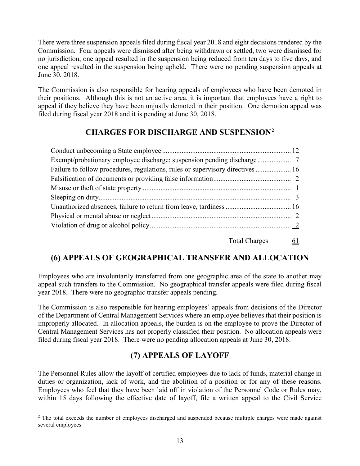There were three suspension appeals filed during fiscal year 2018 and eight decisions rendered by the Commission. Four appeals were dismissed after being withdrawn or settled, two were dismissed for no jurisdiction, one appeal resulted in the suspension being reduced from ten days to five days, and one appeal resulted in the suspension being upheld. There were no pending suspension appeals at June 30, 2018.

The Commission is also responsible for hearing appeals of employees who have been demoted in their positions. Although this is not an active area, it is important that employees have a right to appeal if they believe they have been unjustly demoted in their position. One demotion appeal was filed during fiscal year 2018 and it is pending at June 30, 2018.

## **CHARGES FOR DISCHARGE AND SUSPENSION[2](#page-12-0)**

| Failure to follow procedures, regulations, rules or supervisory directives  16 |  |
|--------------------------------------------------------------------------------|--|
|                                                                                |  |
|                                                                                |  |
|                                                                                |  |
|                                                                                |  |
|                                                                                |  |
|                                                                                |  |
|                                                                                |  |

Total Charges 61

## **(6) APPEALS OF GEOGRAPHICAL TRANSFER AND ALLOCATION**

Employees who are involuntarily transferred from one geographic area of the state to another may appeal such transfers to the Commission. No geographical transfer appeals were filed during fiscal year 2018. There were no geographic transfer appeals pending.

The Commission is also responsible for hearing employees' appeals from decisions of the Director of the Department of Central Management Services where an employee believes that their position is improperly allocated. In allocation appeals, the burden is on the employee to prove the Director of Central Management Services has not properly classified their position. No allocation appeals were filed during fiscal year 2018. There were no pending allocation appeals at June 30, 2018.

## **(7) APPEALS OF LAYOFF**

The Personnel Rules allow the layoff of certified employees due to lack of funds, material change in duties or organization, lack of work, and the abolition of a position or for any of these reasons. Employees who feel that they have been laid off in violation of the Personnel Code or Rules may, within 15 days following the effective date of layoff, file a written appeal to the Civil Service

<span id="page-12-0"></span><sup>&</sup>lt;sup>2</sup> The total exceeds the number of employees discharged and suspended because multiple charges were made against several employees.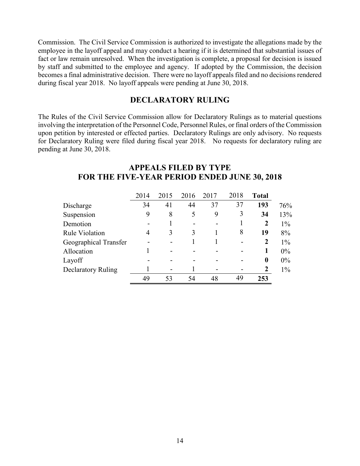Commission. The Civil Service Commission is authorized to investigate the allegations made by the employee in the layoff appeal and may conduct a hearing if it is determined that substantial issues of fact or law remain unresolved. When the investigation is complete, a proposal for decision is issued by staff and submitted to the employee and agency. If adopted by the Commission, the decision becomes a final administrative decision. There were no layoff appeals filed and no decisions rendered during fiscal year 2018. No layoff appeals were pending at June 30, 2018.

#### **DECLARATORY RULING**

The Rules of the Civil Service Commission allow for Declaratory Rulings as to material questions involving the interpretation of the Personnel Code, Personnel Rules, or final orders of the Commission upon petition by interested or effected parties. Declaratory Rulings are only advisory. No requests for Declaratory Ruling were filed during fiscal year 2018. No requests for declaratory ruling are pending at June 30, 2018.

|                       | 2014 | 2015 | 2016 | 2017 | 2018 | <b>Total</b>     |
|-----------------------|------|------|------|------|------|------------------|
| Discharge             | 34   | 41   | 44   | 37   | 37   | 193              |
| Suspension            | 9    | 8    | 5    | 9    | 3    | 34               |
| Demotion              |      |      |      |      |      | $\overline{2}$   |
| <b>Rule Violation</b> | 4    | 3    | 3    |      | 8    | 19               |
| Geographical Transfer |      |      |      |      | -    | $\overline{2}$   |
| Allocation            |      |      |      |      |      | 1                |
| Layoff                |      |      |      |      |      | $\boldsymbol{0}$ |
| Declaratory Ruling    |      | -    |      |      |      | 2                |
|                       | 49   | 53   | 54   | 48   | 49   | 253              |

#### **APPEALS FILED BY TYPE FOR THE FIVE-YEAR PERIOD ENDED JUNE 30, 2018**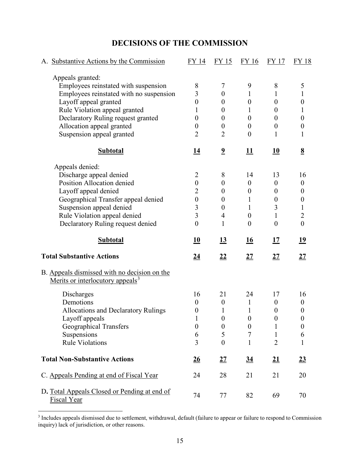## **DECISIONS OF THE COMMISSION**

| A. Substantive Actions by the Commission                                                     | FY 14            | FY 15                   | FY 16            | <b>FY 17</b>              | FY 18            |
|----------------------------------------------------------------------------------------------|------------------|-------------------------|------------------|---------------------------|------------------|
| Appeals granted:                                                                             |                  |                         |                  |                           |                  |
| Employees reinstated with suspension                                                         | 8                | 7                       | 9                | 8                         | 5                |
| Employees reinstated with no suspension                                                      | $\overline{3}$   | $\theta$                | 1                | 1                         | $\mathbf 1$      |
| Layoff appeal granted                                                                        | $\theta$         | $\theta$                | $\boldsymbol{0}$ | $\boldsymbol{0}$          | $\boldsymbol{0}$ |
| Rule Violation appeal granted                                                                | 1                | $\theta$                | 1                | $\theta$                  | 1                |
| Declaratory Ruling request granted                                                           | $\boldsymbol{0}$ | $\boldsymbol{0}$        | $\overline{0}$   | $\theta$                  | $\boldsymbol{0}$ |
| Allocation appeal granted                                                                    | $\overline{0}$   | $\boldsymbol{0}$        | $\boldsymbol{0}$ | $\boldsymbol{0}$          | $\boldsymbol{0}$ |
| Suspension appeal granted                                                                    | $\overline{2}$   | $\overline{2}$          | $\theta$         | 1                         | $\mathbf{1}$     |
| <b>Subtotal</b>                                                                              | <u>14</u>        | $\overline{\mathbf{2}}$ | 11               | 10                        | $\underline{8}$  |
| Appeals denied:                                                                              |                  |                         |                  |                           |                  |
| Discharge appeal denied                                                                      | $\overline{2}$   | 8                       | 14               | 13                        | 16               |
| Position Allocation denied                                                                   | $\boldsymbol{0}$ | $\boldsymbol{0}$        | $\boldsymbol{0}$ | $\boldsymbol{0}$          | $\boldsymbol{0}$ |
| Layoff appeal denied                                                                         | $\overline{2}$   | $\theta$                | $\boldsymbol{0}$ | $\theta$                  | 0                |
| Geographical Transfer appeal denied                                                          | $\boldsymbol{0}$ | $\boldsymbol{0}$        | 1                | $\boldsymbol{0}$          | $\boldsymbol{0}$ |
| Suspension appeal denied                                                                     | 3                | $\boldsymbol{0}$        | 1                | 3                         | $\mathbf{1}$     |
| Rule Violation appeal denied                                                                 | 3                | $\overline{4}$          | $\boldsymbol{0}$ | $\mathbf{1}$              | $\overline{2}$   |
| Declaratory Ruling request denied                                                            | $\overline{0}$   | $\mathbf{1}$            | $\theta$         | $\theta$                  | $\boldsymbol{0}$ |
|                                                                                              |                  |                         |                  |                           |                  |
| <b>Subtotal</b>                                                                              | 10               | <u>13</u>               | 16               | 17                        | <u>19</u>        |
| <b>Total Substantive Actions</b>                                                             | <u>24</u>        | <u>22</u>               | <u>27</u>        | <u>27</u>                 | <u>27</u>        |
| B. Appeals dismissed with no decision on the<br>Merits or interlocutory appeals <sup>3</sup> |                  |                         |                  |                           |                  |
|                                                                                              | 16               | 21                      | 24               | 17                        | 16               |
| Discharges<br>Demotions                                                                      | $\boldsymbol{0}$ | $\boldsymbol{0}$        | $\mathbf{1}$     | $\boldsymbol{0}$          | $\boldsymbol{0}$ |
| <b>Allocations and Declaratory Rulings</b>                                                   | $\boldsymbol{0}$ | $\mathbf{1}$            | $\mathbf{1}$     | $\boldsymbol{0}$          | 0                |
|                                                                                              | 1                | $\boldsymbol{0}$        | $\boldsymbol{0}$ | $\boldsymbol{0}$          | 0                |
| Layoff appeals                                                                               | $\boldsymbol{0}$ | $\boldsymbol{0}$        | $\boldsymbol{0}$ | $\mathbf{1}$              | $\boldsymbol{0}$ |
| <b>Geographical Transfers</b>                                                                | 6                | 5                       | $\overline{7}$   | 1                         | 6                |
| Suspensions<br><b>Rule Violations</b>                                                        | 3                | $\overline{0}$          | $\mathbf{1}$     | $\overline{2}$            | $\mathbf 1$      |
| <b>Total Non-Substantive Actions</b>                                                         | $\underline{26}$ | $\underline{27}$        | $\underline{34}$ | $\underline{\mathbf{21}}$ | $\underline{23}$ |
| C. Appeals Pending at end of Fiscal Year                                                     | 24               | 28                      | 21               | 21                        | 20               |

<span id="page-14-0"></span><sup>&</sup>lt;sup>3</sup> Includes appeals dismissed due to settlement, withdrawal, default (failure to appear or failure to respond to Commission inquiry) lack of jurisdiction, or other reasons.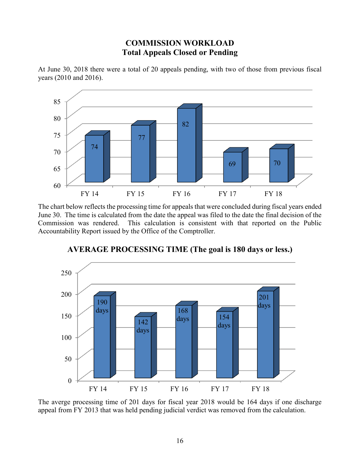## **COMMISSION WORKLOAD Total Appeals Closed or Pending**



At June 30, 2018 there were a total of 20 appeals pending, with two of those from previous fiscal years (2010 and 2016).

The chart below reflects the processing time for appeals that were concluded during fiscal years ended June 30. The time is calculated from the date the appeal was filed to the date the final decision of the Commission was rendered. This calculation is consistent with that reported on the Public Accountability Report issued by the Office of the Comptroller.



## **AVERAGE PROCESSING TIME (The goal is 180 days or less.)**

The averge processing time of 201 days for fiscal year 2018 would be 164 days if one discharge appeal from FY 2013 that was held pending judicial verdict was removed from the calculation.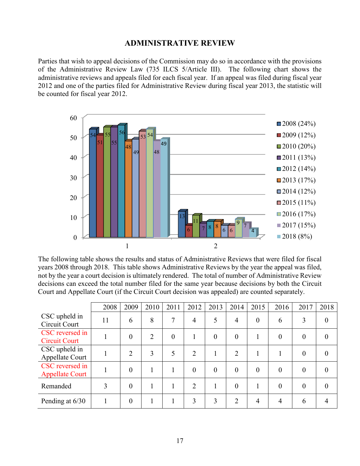#### **ADMINISTRATIVE REVIEW**

Parties that wish to appeal decisions of the Commission may do so in accordance with the provisions of the Administrative Review Law (735 ILCS 5/Article III). The following chart shows the administrative reviews and appeals filed for each fiscal year. If an appeal was filed during fiscal year 2012 and one of the parties filed for Administrative Review during fiscal year 2013, the statistic will be counted for fiscal year 2012.



The following table shows the results and status of Administrative Reviews that were filed for fiscal years 2008 through 2018. This table shows Administrative Reviews by the year the appeal was filed, not by the year a court decision is ultimately rendered. The total of number of Administrative Review decisions can exceed the total number filed for the same year because decisions by both the Circuit Court and Appellate Court (if the Circuit Court decision was appealed) are counted separately.

|                                           | 2008 | 2009           | 2010           | 2011     | 2012           | 2013     | 2014           | 2015           | 2016           | 2017           | 2018           |
|-------------------------------------------|------|----------------|----------------|----------|----------------|----------|----------------|----------------|----------------|----------------|----------------|
| CSC upheld in<br>Circuit Court            | 11   | 6              | 8              | 7        | $\overline{4}$ | 5        | $\overline{4}$ | $\theta$       | 6              | 3              | $\overline{0}$ |
| CSC reversed in<br><b>Circuit Court</b>   |      | $\overline{0}$ | $\overline{2}$ | $\theta$ |                | $\theta$ | $\theta$       |                | $\overline{0}$ | $\overline{0}$ | $\overline{0}$ |
| CSC upheld in<br>Appellate Court          |      | $\overline{2}$ | 3              | 5        | $\overline{2}$ |          | $\overline{2}$ |                |                | $\theta$       | 0              |
| CSC reversed in<br><b>Appellate Court</b> |      | $\overline{0}$ |                |          | $\theta$       | $\theta$ | $\theta$       | $\theta$       | $\overline{0}$ | $\theta$       | 0              |
| Remanded                                  | 3    | $\overline{0}$ |                |          | 2              |          | $\theta$       |                | $\theta$       | $\theta$       | 0              |
| Pending at 6/30                           |      | $\overline{0}$ |                |          | 3              | 3        | $\overline{2}$ | $\overline{4}$ | $\overline{4}$ | 6              |                |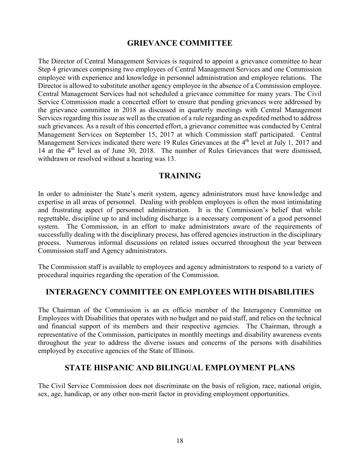#### **GRIEVANCE COMMITTEE**

The Director of Central Management Services is required to appoint a grievance committee to hear Step 4 grievances comprising two employees of Central Management Services and one Commission employee with experience and knowledge in personnel administration and employee relations. The Director is allowed to substitute another agency employee in the absence of a Commission employee. Central Management Services had not scheduled a grievance committee for many years. The Civil Service Commission made a concerted effort to ensure that pending grievances were addressed by the grievance committee in 2018 as discussed in quarterly meetings with Central Management Services regarding this issue as well as the creation of a rule regarding an expedited method to address such grievances. As a result of this concerted effort, a grievance committee was conducted by Central Management Services on September 15, 2017 at which Commission staff participated. Central Management Services indicated there were 19 Rules Grievances at the 4<sup>th</sup> level at July 1, 2017 and 14 at the 4<sup>th</sup> level as of June 30, 2018. The number of Rules Grievances that were dismissed, withdrawn or resolved without a hearing was 13.

#### **TRAINING**

In order to administer the State's merit system, agency administrators must have knowledge and expertise in all areas of personnel. Dealing with problem employees is often the most intimidating and frustrating aspect of personnel administration. It is the Commission's belief that while regrettable, discipline up to and including discharge is a necessary component of a good personnel system. The Commission, in an effort to make administrators aware of the requirements of successfully dealing with the disciplinary process, has offered agencies instruction in the disciplinary process. Numerous informal discussions on related issues occurred throughout the year between Commission staff and Agency administrators.

The Commission staff is available to employees and agency administrators to respond to a variety of procedural inquiries regarding the operation of the Commission.

#### **INTERAGENCY COMMITTEE ON EMPLOYEES WITH DISABILITIES**

The Chairman of the Commission is an ex officio member of the Interagency Committee on Employees with Disabilities that operates with no budget and no paid staff, and relies on the technical and financial support of its members and their respective agencies. The Chairman, through a representative of the Commission, participates in monthly meetings and disability awareness events throughout the year to address the diverse issues and concerns of the persons with disabilities employed by executive agencies of the State of Illinois.

#### **STATE HISPANIC AND BILINGUAL EMPLOYMENT PLANS**

The Civil Service Commission does not discriminate on the basis of religion, race, national origin, sex, age, handicap, or any other non-merit factor in providing employment opportunities.